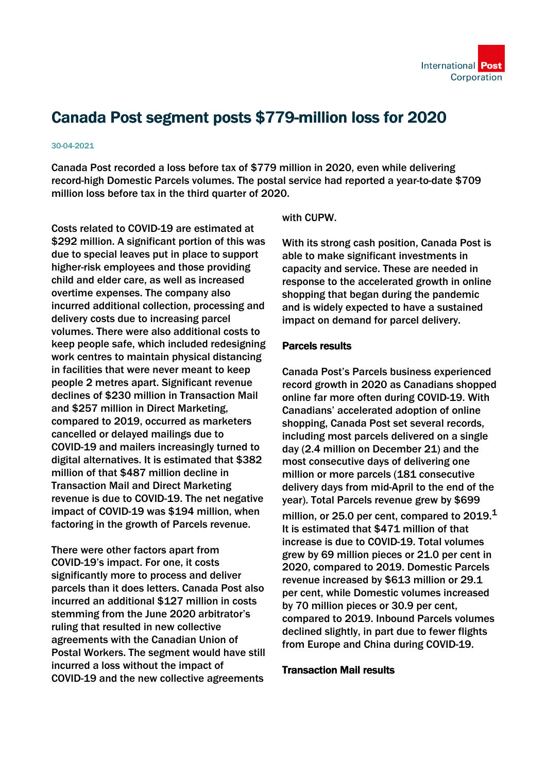# Canada Post segment posts \$779-million loss for 2020

#### 30-04-2021

Canada Post recorded a loss before tax of \$779 million in 2020, even while delivering record-high Domestic Parcels volumes. The postal service had reported a year-to-date \$709 million loss before tax in the third quarter of 2020.

Costs related to COVID-19 are estimated at \$292 million. A significant portion of this was due to special leaves put in place to support higher-risk employees and those providing child and elder care, as well as increased overtime expenses. The company also incurred additional collection, processing and delivery costs due to increasing parcel volumes. There were also additional costs to keep people safe, which included redesigning work centres to maintain physical distancing in facilities that were never meant to keep people 2 metres apart. Significant revenue declines of \$230 million in Transaction Mail and \$257 million in Direct Marketing, compared to 2019, occurred as marketers cancelled or delayed mailings due to COVID-19 and mailers increasingly turned to digital alternatives. It is estimated that \$382 million of that \$487 million decline in Transaction Mail and Direct Marketing revenue is due to COVID-19. The net negative impact of COVID-19 was \$194 million, when factoring in the growth of Parcels revenue.

There were other factors apart from COVID-19's impact. For one, it costs significantly more to process and deliver parcels than it does letters. Canada Post also incurred an additional \$127 million in costs stemming from the June 2020 arbitrator's ruling that resulted in new collective agreements with the Canadian Union of Postal Workers. The segment would have still incurred a loss without the impact of COVID-19 and the new collective agreements

with CUPW

With its strong cash position, Canada Post is able to make significant investments in capacity and service. These are needed in response to the accelerated growth in online shopping that began during the pandemic and is widely expected to have a sustained impact on demand for parcel delivery.

### Parcels results

Canada Post's Parcels business experienced record growth in 2020 as Canadians shopped online far more often during COVID-19. With Canadians' accelerated adoption of online shopping, Canada Post set several records, including most parcels delivered on a single day (2.4 million on December 21) and the most consecutive days of delivering one million or more parcels (181 consecutive delivery days from mid-April to the end of the year). Total Parcels revenue grew by \$699 million, or 25.0 per cent, compared to  $2019.<sup>1</sup>$ It is estimated that \$471 million of that increase is due to COVID-19. Total volumes grew by 69 million pieces or 21.0 per cent in 2020, compared to 2019. Domestic Parcels revenue increased by \$613 million or 29.1 per cent, while Domestic volumes increased by 70 million pieces or 30.9 per cent, compared to 2019. Inbound Parcels volumes declined slightly, in part due to fewer flights from Europe and China during COVID-19.

### Transaction Mail results